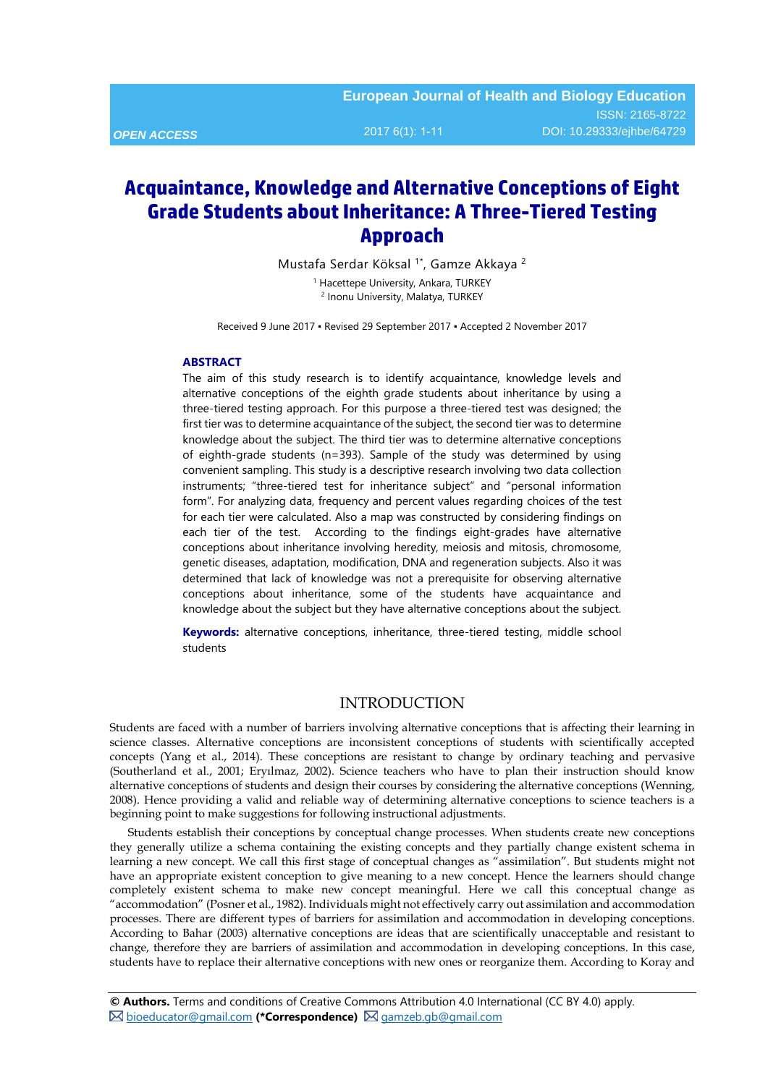## *OPEN ACCESS*

# **Acquaintance, Knowledge and Alternative Conceptions of Eight Grade Students about Inheritance: A Three-Tiered Testing Approach**

Mustafa Serdar Köksal<sup>1\*</sup>, Gamze Akkaya<sup>2</sup>

<sup>1</sup> Hacettepe University, Ankara, TURKEY <sup>2</sup> Inonu University, Malatya, TURKEY

Received 9 June 2017 ▪ Revised 29 September 2017 ▪ Accepted 2 November 2017

#### **ABSTRACT**

The aim of this study research is to identify acquaintance, knowledge levels and alternative conceptions of the eighth grade students about inheritance by using a three-tiered testing approach. For this purpose a three-tiered test was designed; the first tier was to determine acquaintance of the subject, the second tier was to determine knowledge about the subject. The third tier was to determine alternative conceptions of eighth-grade students (n=393). Sample of the study was determined by using convenient sampling. This study is a descriptive research involving two data collection instruments; "three-tiered test for inheritance subject" and "personal information form". For analyzing data, frequency and percent values regarding choices of the test for each tier were calculated. Also a map was constructed by considering findings on each tier of the test. According to the findings eight-grades have alternative conceptions about inheritance involving heredity, meiosis and mitosis, chromosome, genetic diseases, adaptation, modification, DNA and regeneration subjects. Also it was determined that lack of knowledge was not a prerequisite for observing alternative conceptions about inheritance, some of the students have acquaintance and knowledge about the subject but they have alternative conceptions about the subject.

**Keywords:** alternative conceptions, inheritance, three-tiered testing, middle school students

#### INTRODUCTION

Students are faced with a number of barriers involving alternative conceptions that is affecting their learning in science classes. Alternative conceptions are inconsistent conceptions of students with scientifically accepted concepts (Yang et al., 2014). These conceptions are resistant to change by ordinary teaching and pervasive (Southerland et al., 2001; Eryılmaz, 2002). Science teachers who have to plan their instruction should know alternative conceptions of students and design their courses by considering the alternative conceptions (Wenning, 2008). Hence providing a valid and reliable way of determining alternative conceptions to science teachers is a beginning point to make suggestions for following instructional adjustments.

Students establish their conceptions by conceptual change processes. When students create new conceptions they generally utilize a schema containing the existing concepts and they partially change existent schema in learning a new concept. We call this first stage of conceptual changes as "assimilation". But students might not have an appropriate existent conception to give meaning to a new concept. Hence the learners should change completely existent schema to make new concept meaningful. Here we call this conceptual change as "accommodation" (Posner et al., 1982). Individuals might not effectively carry out assimilation and accommodation processes. There are different types of barriers for assimilation and accommodation in developing conceptions. According to Bahar (2003) alternative conceptions are ideas that are scientifically unacceptable and resistant to change, therefore they are barriers of assimilation and accommodation in developing conceptions. In this case, students have to replace their alternative conceptions with new ones or reorganize them. According to Koray and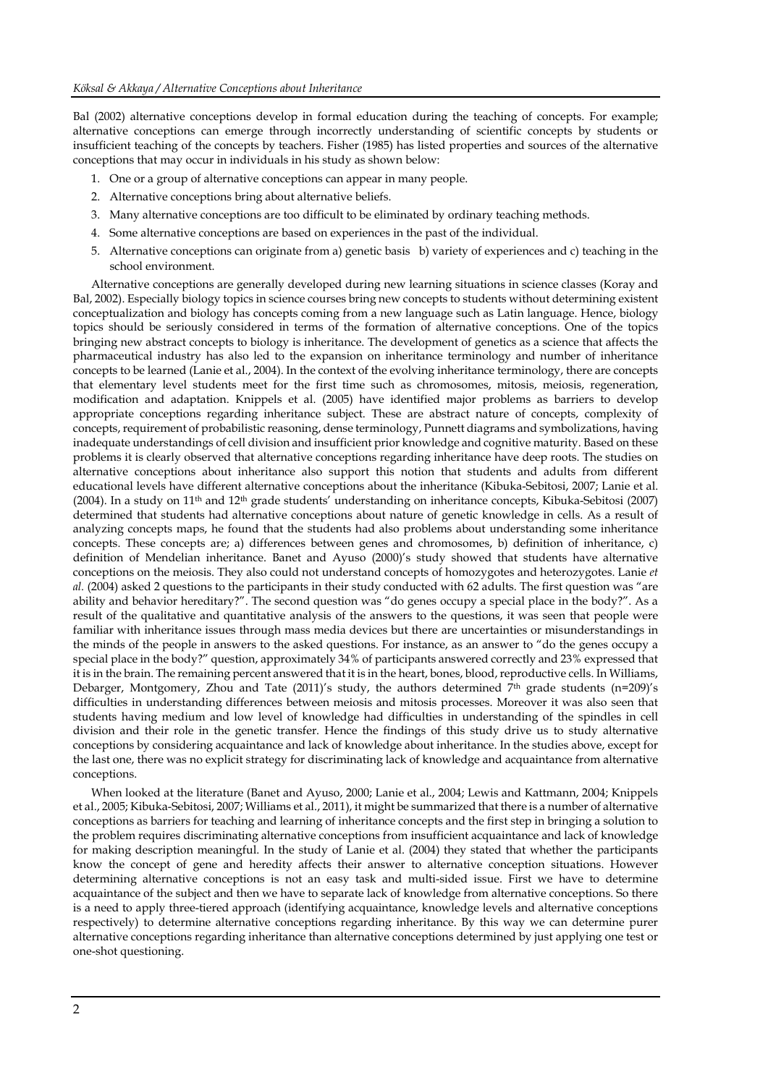Bal (2002) alternative conceptions develop in formal education during the teaching of concepts. For example; alternative conceptions can emerge through incorrectly understanding of scientific concepts by students or insufficient teaching of the concepts by teachers. Fisher (1985) has listed properties and sources of the alternative conceptions that may occur in individuals in his study as shown below:

- 1. One or a group of alternative conceptions can appear in many people.
- 2. Alternative conceptions bring about alternative beliefs.
- 3. Many alternative conceptions are too difficult to be eliminated by ordinary teaching methods.
- 4. Some alternative conceptions are based on experiences in the past of the individual.
- 5. Alternative conceptions can originate from a) genetic basis b) variety of experiences and c) teaching in the school environment.

Alternative conceptions are generally developed during new learning situations in science classes (Koray and Bal, 2002). Especially biology topics in science courses bring new concepts to students without determining existent conceptualization and biology has concepts coming from a new language such as Latin language. Hence, biology topics should be seriously considered in terms of the formation of alternative conceptions. One of the topics bringing new abstract concepts to biology is inheritance. The development of genetics as a science that affects the pharmaceutical industry has also led to the expansion on inheritance terminology and number of inheritance concepts to be learned (Lanie et al., 2004). In the context of the evolving inheritance terminology, there are concepts that elementary level students meet for the first time such as chromosomes, mitosis, meiosis, regeneration, modification and adaptation. Knippels et al. (2005) have identified major problems as barriers to develop appropriate conceptions regarding inheritance subject. These are abstract nature of concepts, complexity of concepts, requirement of probabilistic reasoning, dense terminology, Punnett diagrams and symbolizations, having inadequate understandings of cell division and insufficient prior knowledge and cognitive maturity. Based on these problems it is clearly observed that alternative conceptions regarding inheritance have deep roots. The studies on alternative conceptions about inheritance also support this notion that students and adults from different educational levels have different alternative conceptions about the inheritance (Kibuka-Sebitosi, 2007; Lanie et al. (2004). In a study on 11th and 12th grade students' understanding on inheritance concepts, Kibuka-Sebitosi (2007) determined that students had alternative conceptions about nature of genetic knowledge in cells. As a result of analyzing concepts maps, he found that the students had also problems about understanding some inheritance concepts. These concepts are; a) differences between genes and chromosomes, b) definition of inheritance, c) definition of Mendelian inheritance. Banet and Ayuso (2000)'s study showed that students have alternative conceptions on the meiosis. They also could not understand concepts of homozygotes and heterozygotes. Lanie *et al.* (2004) asked 2 questions to the participants in their study conducted with 62 adults. The first question was "are ability and behavior hereditary?". The second question was "do genes occupy a special place in the body?". As a result of the qualitative and quantitative analysis of the answers to the questions, it was seen that people were familiar with inheritance issues through mass media devices but there are uncertainties or misunderstandings in the minds of the people in answers to the asked questions. For instance, as an answer to "do the genes occupy a special place in the body?" question, approximately 34% of participants answered correctly and 23% expressed that it is in the brain. The remaining percent answered that it is in the heart, bones, blood, reproductive cells. In Williams, Debarger, Montgomery, Zhou and Tate (2011)'s study, the authors determined 7<sup>th</sup> grade students (n=209)'s difficulties in understanding differences between meiosis and mitosis processes. Moreover it was also seen that students having medium and low level of knowledge had difficulties in understanding of the spindles in cell division and their role in the genetic transfer. Hence the findings of this study drive us to study alternative conceptions by considering acquaintance and lack of knowledge about inheritance. In the studies above, except for the last one, there was no explicit strategy for discriminating lack of knowledge and acquaintance from alternative conceptions.

When looked at the literature (Banet and Ayuso, 2000; Lanie et al., 2004; Lewis and Kattmann, 2004; Knippels et al., 2005; Kibuka-Sebitosi, 2007; Williams et al., 2011), it might be summarized that there is a number of alternative conceptions as barriers for teaching and learning of inheritance concepts and the first step in bringing a solution to the problem requires discriminating alternative conceptions from insufficient acquaintance and lack of knowledge for making description meaningful. In the study of Lanie et al. (2004) they stated that whether the participants know the concept of gene and heredity affects their answer to alternative conception situations. However determining alternative conceptions is not an easy task and multi-sided issue. First we have to determine acquaintance of the subject and then we have to separate lack of knowledge from alternative conceptions. So there is a need to apply three-tiered approach (identifying acquaintance, knowledge levels and alternative conceptions respectively) to determine alternative conceptions regarding inheritance. By this way we can determine purer alternative conceptions regarding inheritance than alternative conceptions determined by just applying one test or one-shot questioning.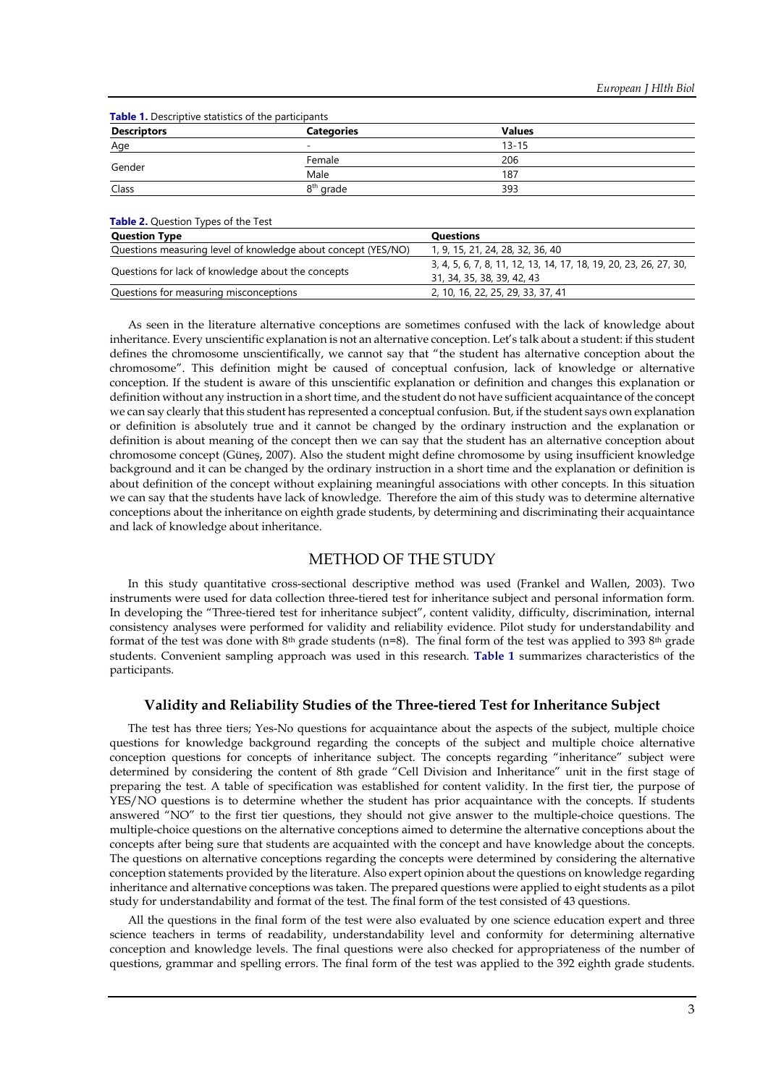| <b>Descriptors</b> | <b>Categories</b>     | <b>Values</b> |  |
|--------------------|-----------------------|---------------|--|
| Age                | -                     | $13 - 15$     |  |
|                    | Female                | 206           |  |
| Gender             | Male                  | 187           |  |
| Class              | 8 <sup>th</sup> grade | 393           |  |

| <b>Question Type</b>                                          | Questions                                                                                       |
|---------------------------------------------------------------|-------------------------------------------------------------------------------------------------|
| Questions measuring level of knowledge about concept (YES/NO) | 1, 9, 15, 21, 24, 28, 32, 36, 40                                                                |
| Questions for lack of knowledge about the concepts            | 3, 4, 5, 6, 7, 8, 11, 12, 13, 14, 17, 18, 19, 20, 23, 26, 27, 30,<br>31, 34, 35, 38, 39, 42, 43 |
| Questions for measuring misconceptions                        | 2, 10, 16, 22, 25, 29, 33, 37, 41                                                               |

As seen in the literature alternative conceptions are sometimes confused with the lack of knowledge about inheritance. Every unscientific explanation is not an alternative conception. Let's talk about a student: if this student defines the chromosome unscientifically, we cannot say that "the student has alternative conception about the chromosome". This definition might be caused of conceptual confusion, lack of knowledge or alternative conception. If the student is aware of this unscientific explanation or definition and changes this explanation or definition without any instruction in a short time, and the student do not have sufficient acquaintance of the concept we can say clearly that this student has represented a conceptual confusion. But, if the student says own explanation or definition is absolutely true and it cannot be changed by the ordinary instruction and the explanation or definition is about meaning of the concept then we can say that the student has an alternative conception about chromosome concept (Güneş, 2007). Also the student might define chromosome by using insufficient knowledge background and it can be changed by the ordinary instruction in a short time and the explanation or definition is about definition of the concept without explaining meaningful associations with other concepts. In this situation we can say that the students have lack of knowledge. Therefore the aim of this study was to determine alternative conceptions about the inheritance on eighth grade students, by determining and discriminating their acquaintance and lack of knowledge about inheritance.

#### METHOD OF THE STUDY

In this study quantitative cross-sectional descriptive method was used (Frankel and Wallen, 2003). Two instruments were used for data collection three-tiered test for inheritance subject and personal information form. In developing the "Three-tiered test for inheritance subject", content validity, difficulty, discrimination, internal consistency analyses were performed for validity and reliability evidence. Pilot study for understandability and format of the test was done with 8<sup>th</sup> grade students (n=8). The final form of the test was applied to 393 8<sup>th</sup> grade students. Convenient sampling approach was used in this research. **Table 1** summarizes characteristics of the participants.

#### **Validity and Reliability Studies of the Three-tiered Test for Inheritance Subject**

The test has three tiers; Yes-No questions for acquaintance about the aspects of the subject, multiple choice questions for knowledge background regarding the concepts of the subject and multiple choice alternative conception questions for concepts of inheritance subject. The concepts regarding "inheritance" subject were determined by considering the content of 8th grade "Cell Division and Inheritance" unit in the first stage of preparing the test. A table of specification was established for content validity. In the first tier, the purpose of YES/NO questions is to determine whether the student has prior acquaintance with the concepts. If students answered "NO" to the first tier questions, they should not give answer to the multiple-choice questions. The multiple-choice questions on the alternative conceptions aimed to determine the alternative conceptions about the concepts after being sure that students are acquainted with the concept and have knowledge about the concepts. The questions on alternative conceptions regarding the concepts were determined by considering the alternative conception statements provided by the literature. Also expert opinion about the questions on knowledge regarding inheritance and alternative conceptions was taken. The prepared questions were applied to eight students as a pilot study for understandability and format of the test. The final form of the test consisted of 43 questions.

All the questions in the final form of the test were also evaluated by one science education expert and three science teachers in terms of readability, understandability level and conformity for determining alternative conception and knowledge levels. The final questions were also checked for appropriateness of the number of questions, grammar and spelling errors. The final form of the test was applied to the 392 eighth grade students.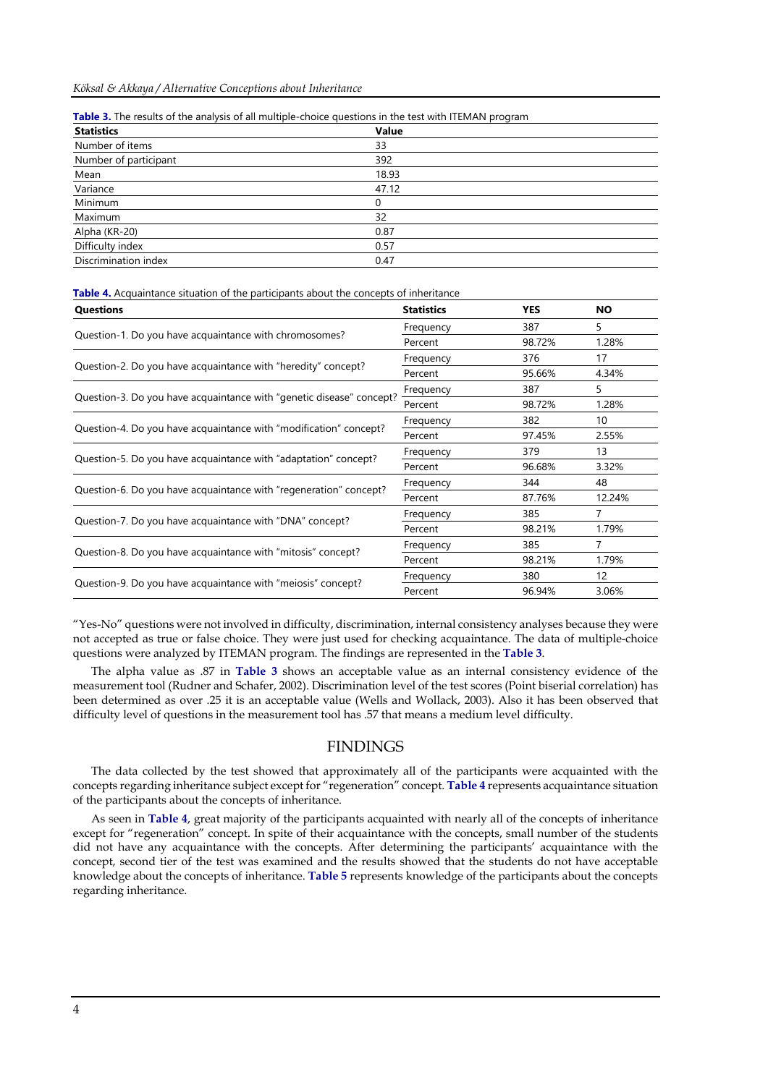|  | Table 3. The results of the analysis of all multiple-choice questions in the test with ITEMAN program |  |  |  |  |
|--|-------------------------------------------------------------------------------------------------------|--|--|--|--|
|--|-------------------------------------------------------------------------------------------------------|--|--|--|--|

| Value |
|-------|
| 33    |
| 392   |
| 18.93 |
| 47.12 |
| 0     |
| 32    |
| 0.87  |
| 0.57  |
| 0.47  |
|       |

**Table 4.** Acquaintance situation of the participants about the concepts of inheritance

| <b>Questions</b>                                                     | <b>Statistics</b> | <b>YES</b> | <b>NO</b>         |
|----------------------------------------------------------------------|-------------------|------------|-------------------|
|                                                                      | Frequency         | 387        | 5.                |
| Question-1. Do you have acquaintance with chromosomes?               | Percent           | 98.72%     | 1.28%             |
|                                                                      | Frequency         | 376        | 17                |
| Question-2. Do you have acquaintance with "heredity" concept?        | Percent           | 95.66%     | 4.34%             |
|                                                                      | Frequency         | 387        | 5.                |
| Question-3. Do you have acquaintance with "genetic disease" concept? | Percent           | 98.72%     | 1.28%             |
| Question-4. Do you have acquaintance with "modification" concept?    | Frequency         | 382        | 10                |
|                                                                      | Percent           | 97.45%     | 2.55%             |
|                                                                      | Frequency         | 379        | 13                |
| Question-5. Do you have acquaintance with "adaptation" concept?      | Percent           | 96.68%     | 3.32%             |
| Question-6. Do you have acquaintance with "regeneration" concept?    | Frequency         | 344        | 48                |
|                                                                      | Percent           | 87.76%     | 12.24%            |
|                                                                      | Frequency         | 385        |                   |
| Question-7. Do you have acquaintance with "DNA" concept?             | Percent           | 98.21%     | 1.79%             |
|                                                                      | Frequency         | 385        | 7                 |
| Question-8. Do you have acquaintance with "mitosis" concept?         | Percent           | 98.21%     | 1.79%             |
|                                                                      | Frequency         | 380        | $12 \overline{ }$ |
| Question-9. Do you have acquaintance with "meiosis" concept?         | Percent           | 96.94%     | 3.06%             |

"Yes-No" questions were not involved in difficulty, discrimination, internal consistency analyses because they were not accepted as true or false choice. They were just used for checking acquaintance. The data of multiple-choice questions were analyzed by ITEMAN program. The findings are represented in the **Table 3**.

The alpha value as .87 in **Table 3** shows an acceptable value as an internal consistency evidence of the measurement tool (Rudner and Schafer, 2002). Discrimination level of the test scores (Point biserial correlation) has been determined as over .25 it is an acceptable value (Wells and Wollack, 2003). Also it has been observed that difficulty level of questions in the measurement tool has .57 that means a medium level difficulty.

## FINDINGS

The data collected by the test showed that approximately all of the participants were acquainted with the concepts regarding inheritance subject except for "regeneration" concept. **Table 4** represents acquaintance situation of the participants about the concepts of inheritance.

As seen in **Table 4**, great majority of the participants acquainted with nearly all of the concepts of inheritance except for "regeneration" concept. In spite of their acquaintance with the concepts, small number of the students did not have any acquaintance with the concepts. After determining the participants' acquaintance with the concept, second tier of the test was examined and the results showed that the students do not have acceptable knowledge about the concepts of inheritance. **Table 5** represents knowledge of the participants about the concepts regarding inheritance.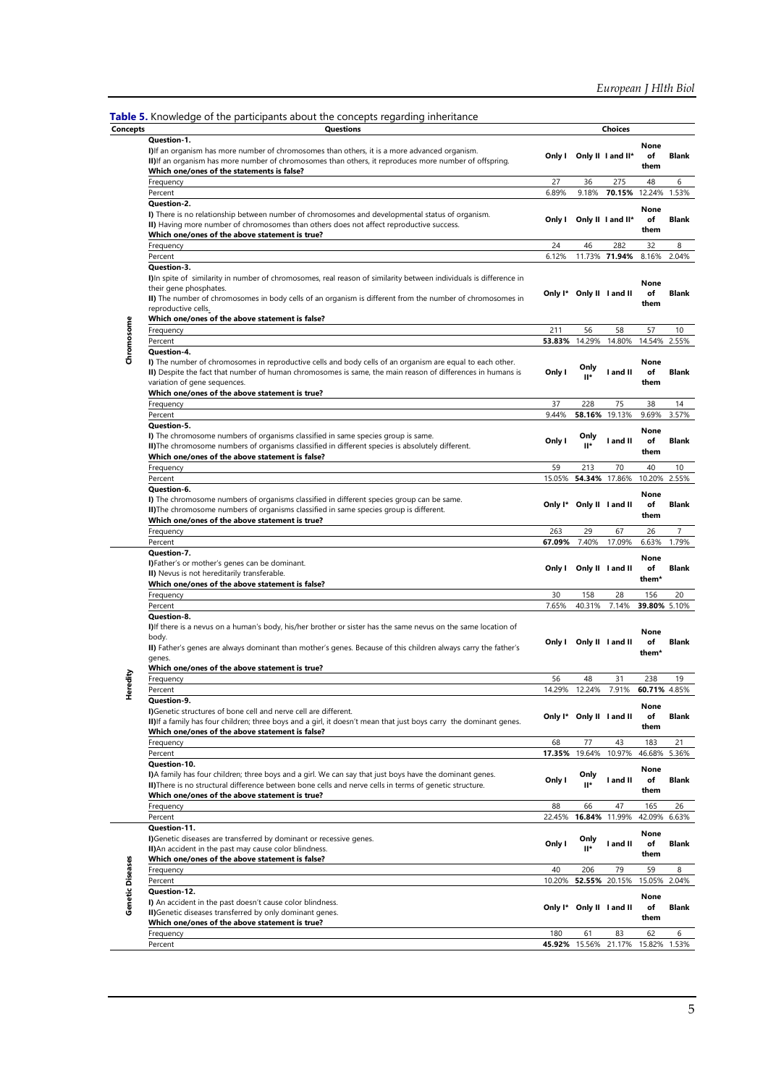| <b>Table 5.</b> Knowledge of the participants about the concepts regarding inheritance |                                                                                               |  |                        |  |
|----------------------------------------------------------------------------------------|-----------------------------------------------------------------------------------------------|--|------------------------|--|
| Concepts                                                                               | <b>Ouestions</b>                                                                              |  | Choices                |  |
| Ouestion-1.                                                                            |                                                                                               |  |                        |  |
|                                                                                        | I) If an organism has more number of chromosomes than others, it is a more advanced organism. |  | Outsite Outsite Land L |  |

|                         | Question-1.<br>I) If an organism has more number of chromosomes than others, it is a more advanced organism.<br>II) If an organism has more number of chromosomes than others, it reproduces more number of offspring.<br>Which one/ones of the statements is false?                                                                              |        |                          | Only I Only II I and II*          | None<br>of<br>them                  | <b>Blank</b>   |
|-------------------------|---------------------------------------------------------------------------------------------------------------------------------------------------------------------------------------------------------------------------------------------------------------------------------------------------------------------------------------------------|--------|--------------------------|-----------------------------------|-------------------------------------|----------------|
|                         | Frequency                                                                                                                                                                                                                                                                                                                                         | 27     | 36                       | 275                               | 48                                  | 6              |
|                         | Percent                                                                                                                                                                                                                                                                                                                                           | 6.89%  | 9.18%                    | 70.15%                            | 12.24%                              | 1.53%          |
|                         | <b>Question-2.</b><br>I) There is no relationship between number of chromosomes and developmental status of organism.<br>II) Having more number of chromosomes than others does not affect reproductive success.<br>Which one/ones of the above statement is true?                                                                                |        |                          | Only I Only II I and II*          | None<br>of<br>them                  | <b>Blank</b>   |
|                         | Frequency                                                                                                                                                                                                                                                                                                                                         | 24     | 46                       | 282                               | 32                                  | 8              |
|                         | Percent                                                                                                                                                                                                                                                                                                                                           | 6.12%  |                          | 11.73% 71.94%                     | 8.16%                               | 2.04%          |
|                         | Question-3.<br>I)In spite of similarity in number of chromosomes, real reason of similarity between individuals is difference in<br>their gene phosphates.<br>II) The number of chromosomes in body cells of an organism is different from the number of chromosomes in<br>reproductive cells.<br>Which one/ones of the above statement is false? |        | Only I* Only II I and II |                                   | None<br>of<br>them                  | <b>Blank</b>   |
|                         | Frequency                                                                                                                                                                                                                                                                                                                                         | 211    | 56                       | 58                                | 57                                  | 10             |
|                         | Percent                                                                                                                                                                                                                                                                                                                                           | 53.83% | 14.29%                   | 14.80%                            | 14.54%                              | 2.55%          |
| Chromosome              | Question-4.<br>I) The number of chromosomes in reproductive cells and body cells of an organism are equal to each other.<br>II) Despite the fact that number of human chromosomes is same, the main reason of differences in humans is<br>variation of gene sequences.<br>Which one/ones of the above statement is true?                          | Only I | Only<br>$II^*$           | I and II                          | None<br>of<br>them                  | <b>Blank</b>   |
|                         | Frequency                                                                                                                                                                                                                                                                                                                                         | 37     | 228                      | 75                                | 38                                  | 14             |
|                         | Percent                                                                                                                                                                                                                                                                                                                                           | 9.44%  | 58.16%                   | 19.13%                            | 9.69%                               | 3.57%          |
|                         | <b>Question-5.</b><br>I) The chromosome numbers of organisms classified in same species group is same.<br>II) The chromosome numbers of organisms classified in different species is absolutely different.<br>Which one/ones of the above statement is false?                                                                                     | Only I | Only<br>$II^*$           | I and II                          | None<br>of<br>them                  | Blank          |
|                         | Frequency                                                                                                                                                                                                                                                                                                                                         | 59     | 213                      | 70                                | 40                                  | 10             |
|                         | Percent                                                                                                                                                                                                                                                                                                                                           | 15.05% | 54.34%                   | 17.86%                            | 10.20%                              | 2.55%          |
|                         | Question-6.<br>I) The chromosome numbers of organisms classified in different species group can be same.<br>II) The chromosome numbers of organisms classified in same species group is different.<br>Which one/ones of the above statement is true?                                                                                              |        | Only I* Only II I and II |                                   | None<br>of<br>them                  | Blank          |
|                         | Frequency                                                                                                                                                                                                                                                                                                                                         | 263    | 29                       | 67                                |                                     | $\overline{7}$ |
|                         |                                                                                                                                                                                                                                                                                                                                                   |        |                          |                                   | 26                                  |                |
|                         | Percent                                                                                                                                                                                                                                                                                                                                           | 67.09% | 7.40%                    | 17.09%                            | 6.63%                               | 1.79%          |
|                         | Question-7.<br>I)Father's or mother's genes can be dominant.<br>II) Nevus is not hereditarily transferable.<br>Which one/ones of the above statement is false?                                                                                                                                                                                    |        | Only I Only II I and II  |                                   | None<br>of<br>them*                 | <b>Blank</b>   |
|                         | Frequency                                                                                                                                                                                                                                                                                                                                         | 30     | 158                      | 28                                | 156                                 | 20             |
|                         | Percent                                                                                                                                                                                                                                                                                                                                           | 7.65%  | 40.31%                   | 7.14%                             | 39.80% 5.10%                        |                |
|                         | Question-8.<br>I) If there is a nevus on a human's body, his/her brother or sister has the same nevus on the same location of<br>body.<br>II) Father's genes are always dominant than mother's genes. Because of this children always carry the father's<br>genes.<br>Which one/ones of the above statement is true?                              |        | Only I Only II I and II  |                                   | None<br>of<br>them*                 | <b>Blank</b>   |
|                         | Frequency                                                                                                                                                                                                                                                                                                                                         | 56     | 48                       | 31                                | 238                                 | 19             |
| Heredity                | Percent<br>Question-9.<br>I) Genetic structures of bone cell and nerve cell are different.<br>II) If a family has four children; three boys and a girl, it doesn't mean that just boys carry the dominant genes.<br>Which one/ones of the above statement is false?                                                                               | 14.29% | 12.24%                   | 7.91%<br>Only I* Only II I and II | 60.71% 4.85%<br>None<br>nf.<br>them | <b>Rlank</b>   |
|                         | Frequency                                                                                                                                                                                                                                                                                                                                         | 68     | 77                       | 43                                | 183                                 | 21             |
|                         | Percent                                                                                                                                                                                                                                                                                                                                           | 17.35% | 19.64%                   | 10.97%                            | 46.68%                              | 5.36%          |
|                         | Question-10.<br>I)A family has four children; three boys and a girl. We can say that just boys have the dominant genes.<br>II) There is no structural difference between bone cells and nerve cells in terms of genetic structure.<br>Which one/ones of the above statement is true?                                                              | Only I | Only<br>॥*               | I and II                          | None<br>of<br>them                  | <b>Blank</b>   |
|                         | Frequency                                                                                                                                                                                                                                                                                                                                         | 88     | 66                       | 47                                | 165                                 | 26             |
|                         | Percent                                                                                                                                                                                                                                                                                                                                           | 22.45% | 16.84%                   | 11.99%                            | 42.09%                              | 6.63%          |
|                         | Question-11.<br>I)Genetic diseases are transferred by dominant or recessive genes.<br>II) An accident in the past may cause color blindness.<br>Which one/ones of the above statement is false?                                                                                                                                                   | Only I | Only<br>"⊪               | I and II                          | None<br>of<br>them                  | <b>Blank</b>   |
|                         | Frequency                                                                                                                                                                                                                                                                                                                                         | 40     | 206                      | 79                                | 59                                  | 8              |
|                         | Percent                                                                                                                                                                                                                                                                                                                                           | 10.20% |                          | 52.55% 20.15%                     | 15.05%                              | 2.04%          |
| <b>Genetic Diseases</b> | Question-12.<br>I) An accident in the past doesn't cause color blindness.<br>II) Genetic diseases transferred by only dominant genes.<br>Which one/ones of the above statement is true?                                                                                                                                                           |        | Only I* Only II I and II |                                   | None<br>of<br>them                  | Blank          |
|                         | Frequency                                                                                                                                                                                                                                                                                                                                         | 180    | 61                       | 83                                | 62                                  | 6              |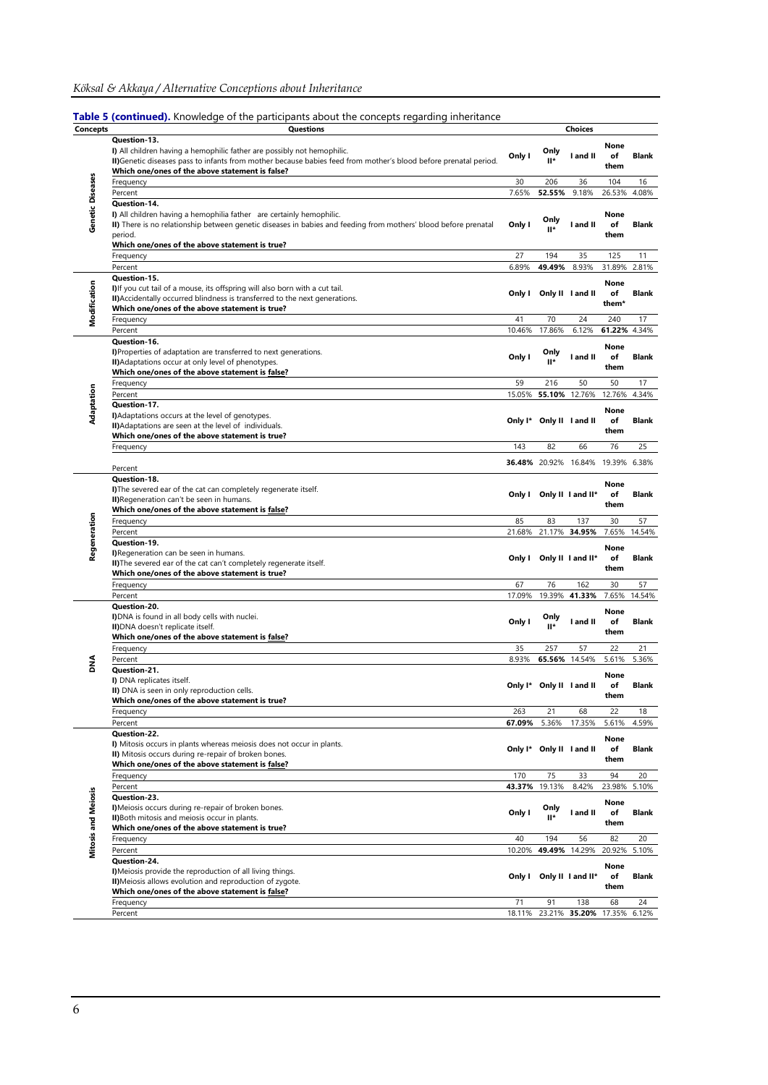Table 5 (continued). Knowledge of the participants about the concepts regarding inheritance

| <b>Concepts</b>            | Questions                                                                                                                                                                                                                                                            | <b>Choices</b>   |                                    |                                          |                                    |                        |
|----------------------------|----------------------------------------------------------------------------------------------------------------------------------------------------------------------------------------------------------------------------------------------------------------------|------------------|------------------------------------|------------------------------------------|------------------------------------|------------------------|
|                            | Question-13.<br>I) All children having a hemophilic father are possibly not hemophilic.<br>II) Genetic diseases pass to infants from mother because babies feed from mother's blood before prenatal period.<br>Which one/ones of the above statement is false?       | Only I           | Only<br>ı۳                         | I and II                                 | None<br>of<br>them                 | <b>Blank</b>           |
|                            | Frequency                                                                                                                                                                                                                                                            | 30               | 206                                | 36                                       | 104                                | 16                     |
|                            | Percent                                                                                                                                                                                                                                                              | 7.65%            | 52.55%                             | 9.18%                                    | 26.53%                             | 4.08%                  |
| Genetic Diseases           | Question-14.<br>I) All children having a hemophilia father are certainly hemophilic.<br>II) There is no relationship between genetic diseases in babies and feeding from mothers' blood before prenatal<br>period.<br>Which one/ones of the above statement is true? | Only I           | Only<br>II*                        | I and II                                 | None<br>of<br>them                 | <b>Blank</b>           |
|                            | Frequency                                                                                                                                                                                                                                                            | 27               | 194                                | 35                                       | 125                                | 11                     |
|                            | Percent                                                                                                                                                                                                                                                              | 6.89%            | 49.49%                             | 8.93%                                    | 31.89%                             | 2.81%                  |
| Modification               | Question-15.<br>I) If you cut tail of a mouse, its offspring will also born with a cut tail.<br>II) Accidentally occurred blindness is transferred to the next generations.<br>Which one/ones of the above statement is true?                                        |                  | Only I Only II I and II            |                                          | None<br>of<br>them*                | <b>Blank</b>           |
|                            | Frequency                                                                                                                                                                                                                                                            | 41               | 70                                 | 24                                       | 240                                | 17                     |
|                            | Percent<br>Question-16.<br>I)Properties of adaptation are transferred to next generations.<br>II) Adaptations occur at only level of phenotypes.<br>Which one/ones of the above statement is false?                                                                  | 10.46%<br>Only I | 17.86%<br>Only<br>ı۳               | 6.12%<br>I and II                        | 61.22% 4.34%<br>None<br>of<br>them | <b>Blank</b>           |
|                            | Frequency                                                                                                                                                                                                                                                            | 59               | 216                                | 50                                       | 50                                 | 17                     |
|                            | Percent                                                                                                                                                                                                                                                              |                  | 15.05% 55.10% 12.76%               |                                          | 12.76%                             | 4.34%                  |
| Adaptation                 | Question-17.<br>I) Adaptations occurs at the level of genotypes.<br>II) Adaptations are seen at the level of individuals.<br>Which one/ones of the above statement is true?                                                                                          |                  | Only I* Only II I and II           |                                          | None<br>of<br>them                 | <b>Blank</b>           |
|                            | Frequency                                                                                                                                                                                                                                                            | 143              | 82                                 | 66                                       | 76                                 | 25                     |
|                            |                                                                                                                                                                                                                                                                      |                  |                                    | <b>36.48%</b> 20.92% 16.84% 19.39% 6.38% |                                    |                        |
|                            | Percent                                                                                                                                                                                                                                                              |                  |                                    |                                          |                                    |                        |
|                            | Question-18.<br>I) The severed ear of the cat can completely regenerate itself.<br>II) Regeneration can't be seen in humans.<br>Which one/ones of the above statement is false?                                                                                      |                  |                                    | Only I Only II I and II*                 | None<br>of<br>them                 | Blank                  |
|                            | Frequency                                                                                                                                                                                                                                                            | 85               | 83                                 | 137                                      | 30                                 | 57                     |
|                            | Percent                                                                                                                                                                                                                                                              |                  |                                    | 21.68% 21.17% 34.95%                     | 7.65%                              | 14.54%                 |
| Regeneration               | Question-19.<br>I)Regeneration can be seen in humans.<br>II) The severed ear of the cat can't completely regenerate itself.<br>Which one/ones of the above statement is true?                                                                                        | Only I           |                                    | Only II I and II*                        | None<br>of<br>them                 | <b>Blank</b>           |
|                            | Frequency                                                                                                                                                                                                                                                            | 67               | 76                                 | 162                                      | 30                                 | 57                     |
|                            | Percent<br>Question-20.<br>I)DNA is found in all body cells with nuclei.<br>II) DNA doesn't replicate itself.<br>Which one/ones of the above statement is false?                                                                                                     | 17.09%<br>Only I | 19.39%<br>Only<br>$II*$            | 41.33%<br>I and II                       | 7.65%<br>None<br>of<br>them        | 14.54%<br><b>Blank</b> |
|                            | Frequency                                                                                                                                                                                                                                                            | 35               | 257                                | 57                                       | 22                                 | 21                     |
| 울                          | Percent<br>Question-21.<br>I) DNA replicates itself.<br>II) DNA is seen in only reproduction cells.<br>Which one/ones of the above statement is true?                                                                                                                | 8.93%            | 65.56%<br>Only I* Only II I and II | 14.54%                                   | 5.61%<br>None<br>of<br>them        | 5.36%<br><b>Blank</b>  |
|                            | Frequency                                                                                                                                                                                                                                                            | 263              | 21                                 | 68                                       | 22                                 | 18                     |
|                            | Percent                                                                                                                                                                                                                                                              | 67.09%           | 5.36%                              | 17.35%                                   | 5.61%                              | 4.59%                  |
|                            | Question-22.<br>I) Mitosis occurs in plants whereas meiosis does not occur in plants.<br>II) Mitosis occurs during re-repair of broken bones.<br>Which one/ones of the above statement is false?                                                                     |                  | Only I* Only II I and II           |                                          | None<br>of<br>them                 | Blank                  |
|                            | Frequency                                                                                                                                                                                                                                                            | 170              | 75                                 | 33                                       | 94                                 | 20                     |
|                            | Percent                                                                                                                                                                                                                                                              | 43.37%           | 19.13%                             | 8.42%                                    | 23.98%                             | 5.10%                  |
| <b>Mitosis and Meiosis</b> | Question-23.<br>I) Meiosis occurs during re-repair of broken bones.<br>II) Both mitosis and meiosis occur in plants.<br>Which one/ones of the above statement is true?                                                                                               | Only I           | Only<br>ı۳                         | I and II                                 | None<br>of<br>them                 | Blank                  |
|                            | Frequency                                                                                                                                                                                                                                                            | 40               | 194                                | 56                                       | 82                                 | 20                     |
|                            | Percent                                                                                                                                                                                                                                                              | 10.20%           |                                    | 49.49% 14.29%                            | 20.92%                             | 5.10%                  |
|                            | Question-24.<br>I) Meiosis provide the reproduction of all living things.<br>II) Meiosis allows evolution and reproduction of zygote.<br>Which one/ones of the above statement is false?                                                                             |                  |                                    | Only I Only II I and II*                 | None<br>of<br>them                 | Blank                  |
|                            | Frequency                                                                                                                                                                                                                                                            | 71               | 91                                 | 138                                      | 68                                 | 24                     |
|                            | Percent                                                                                                                                                                                                                                                              | 18.11%           |                                    | 23.21% 35.20% 17.35%                     |                                    | 6.12%                  |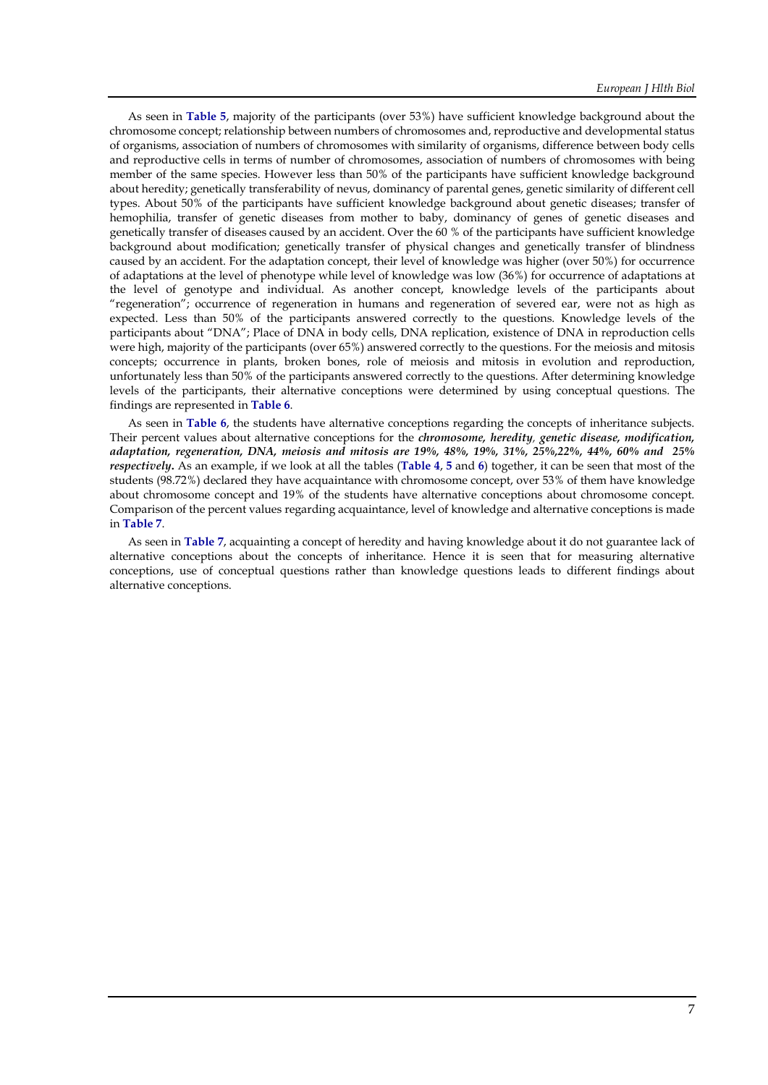As seen in **Table 5**, majority of the participants (over 53%) have sufficient knowledge background about the chromosome concept; relationship between numbers of chromosomes and, reproductive and developmental status of organisms, association of numbers of chromosomes with similarity of organisms, difference between body cells and reproductive cells in terms of number of chromosomes, association of numbers of chromosomes with being member of the same species. However less than 50% of the participants have sufficient knowledge background about heredity; genetically transferability of nevus, dominancy of parental genes, genetic similarity of different cell types. About 50% of the participants have sufficient knowledge background about genetic diseases; transfer of hemophilia, transfer of genetic diseases from mother to baby, dominancy of genes of genetic diseases and genetically transfer of diseases caused by an accident. Over the 60 % of the participants have sufficient knowledge background about modification; genetically transfer of physical changes and genetically transfer of blindness caused by an accident. For the adaptation concept, their level of knowledge was higher (over 50%) for occurrence of adaptations at the level of phenotype while level of knowledge was low (36%) for occurrence of adaptations at the level of genotype and individual. As another concept, knowledge levels of the participants about "regeneration"; occurrence of regeneration in humans and regeneration of severed ear, were not as high as expected. Less than 50% of the participants answered correctly to the questions. Knowledge levels of the participants about "DNA"; Place of DNA in body cells, DNA replication, existence of DNA in reproduction cells were high, majority of the participants (over 65%) answered correctly to the questions. For the meiosis and mitosis concepts; occurrence in plants, broken bones, role of meiosis and mitosis in evolution and reproduction, unfortunately less than 50% of the participants answered correctly to the questions. After determining knowledge levels of the participants, their alternative conceptions were determined by using conceptual questions. The findings are represented in **Table 6**.

As seen in **Table 6**, the students have alternative conceptions regarding the concepts of inheritance subjects. Their percent values about alternative conceptions for the *chromosome, heredity, genetic disease, modification, adaptation, regeneration, DNA, meiosis and mitosis are 19%, 48%, 19%, 31%, 25%,22%, 44%, 60% and 25% respectively***.** As an example, if we look at all the tables (**Table 4**, **5** and **6**) together, it can be seen that most of the students (98.72%) declared they have acquaintance with chromosome concept, over 53% of them have knowledge about chromosome concept and 19% of the students have alternative conceptions about chromosome concept. Comparison of the percent values regarding acquaintance, level of knowledge and alternative conceptions is made in **Table 7**.

As seen in **Table 7**, acquainting a concept of heredity and having knowledge about it do not guarantee lack of alternative conceptions about the concepts of inheritance. Hence it is seen that for measuring alternative conceptions, use of conceptual questions rather than knowledge questions leads to different findings about alternative conceptions.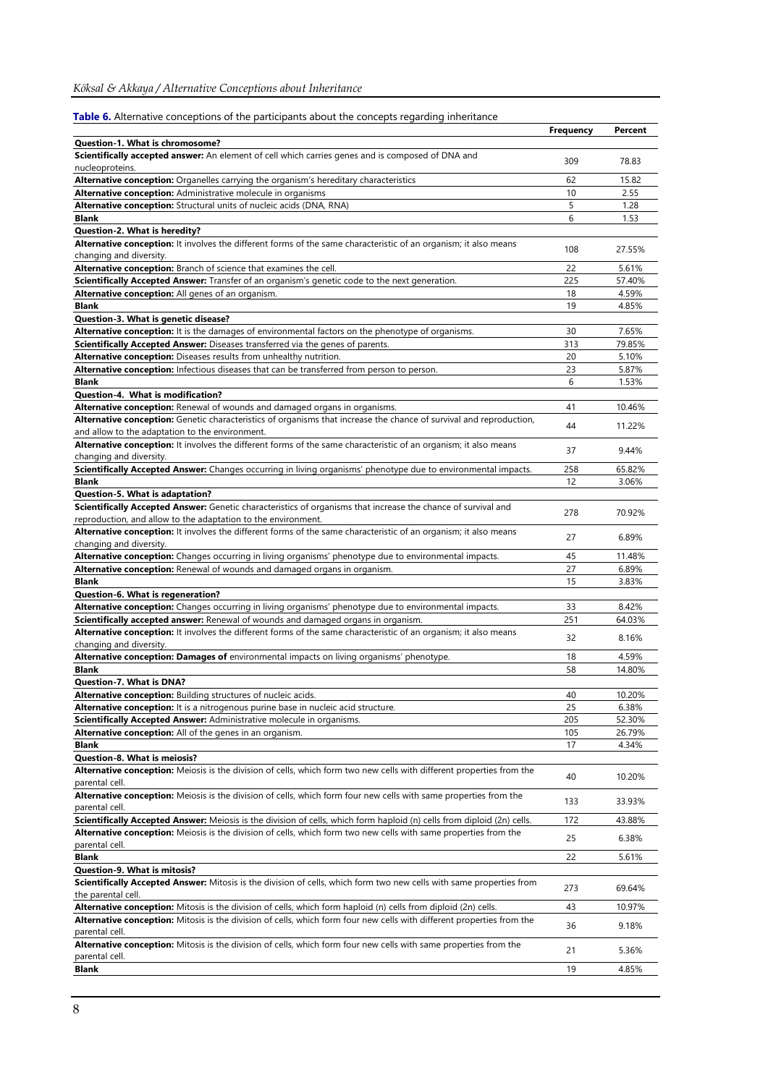| Table 6. Alternative conceptions of the participants about the concepts regarding inheritance                           |                  |         |
|-------------------------------------------------------------------------------------------------------------------------|------------------|---------|
|                                                                                                                         | <b>Frequency</b> | Percent |
| Question-1. What is chromosome?                                                                                         |                  |         |
| Scientifically accepted answer: An element of cell which carries genes and is composed of DNA and                       | 309              | 78.83   |
| nucleoproteins.                                                                                                         |                  |         |
| Alternative conception: Organelles carrying the organism's hereditary characteristics                                   | 62               | 15.82   |
| Alternative conception: Administrative molecule in organisms                                                            | 10               | 2.55    |
| Alternative conception: Structural units of nucleic acids (DNA, RNA)                                                    | 5                | 1.28    |
| <b>Blank</b>                                                                                                            | 6                | 1.53    |
| Question 2. What is heredity?                                                                                           |                  |         |
| Alternative conception: It involves the different forms of the same characteristic of an organism; it also means        |                  |         |
| changing and diversity.                                                                                                 | 108              | 27.55%  |
| Alternative conception: Branch of science that examines the cell.                                                       | 22               | 5.61%   |
| Scientifically Accepted Answer: Transfer of an organism's genetic code to the next generation.                          | 225              | 57.40%  |
| Alternative conception: All genes of an organism.                                                                       | 18               | 4.59%   |
| <b>Blank</b>                                                                                                            | 19               | 4.85%   |
| Question 3. What is genetic disease?                                                                                    |                  |         |
| <b>Alternative conception:</b> It is the damages of environmental factors on the phenotype of organisms.                | 30               | 7.65%   |
| Scientifically Accepted Answer: Diseases transferred via the genes of parents.                                          | 313              | 79.85%  |
| Alternative conception: Diseases results from unhealthy nutrition.                                                      | 20               | 5.10%   |
| Alternative conception: Infectious diseases that can be transferred from person to person.                              | 23               | 5.87%   |
| <b>Blank</b>                                                                                                            | 6                | 1.53%   |
|                                                                                                                         |                  |         |
| Question-4. What is modification?                                                                                       |                  |         |
| Alternative conception: Renewal of wounds and damaged organs in organisms.                                              | 41               | 10.46%  |
| Alternative conception: Genetic characteristics of organisms that increase the chance of survival and reproduction,     | 44               | 11.22%  |
| and allow to the adaptation to the environment.                                                                         |                  |         |
| Alternative conception: It involves the different forms of the same characteristic of an organism; it also means        | 37               | 9.44%   |
| changing and diversity.                                                                                                 |                  |         |
| Scientifically Accepted Answer: Changes occurring in living organisms' phenotype due to environmental impacts.          | 258              | 65.82%  |
| Blank                                                                                                                   | 12               | 3.06%   |
| Question 5. What is adaptation?                                                                                         |                  |         |
| Scientifically Accepted Answer: Genetic characteristics of organisms that increase the chance of survival and           | 278              | 70.92%  |
| reproduction, and allow to the adaptation to the environment.                                                           |                  |         |
| Alternative conception: It involves the different forms of the same characteristic of an organism; it also means        | 27               | 6.89%   |
| changing and diversity.                                                                                                 |                  |         |
| Alternative conception: Changes occurring in living organisms' phenotype due to environmental impacts.                  | 45               | 11.48%  |
| Alternative conception: Renewal of wounds and damaged organs in organism.                                               | 27               | 6.89%   |
| <b>Blank</b>                                                                                                            | 15               | 3.83%   |
| Question-6. What is regeneration?                                                                                       |                  |         |
| Alternative conception: Changes occurring in living organisms' phenotype due to environmental impacts.                  | 33               | 8.42%   |
| Scientifically accepted answer: Renewal of wounds and damaged organs in organism.                                       | 251              | 64.03%  |
| Alternative conception: It involves the different forms of the same characteristic of an organism; it also means        |                  |         |
| changing and diversity.                                                                                                 | 32               | 8.16%   |
| Alternative conception: Damages of environmental impacts on living organisms' phenotype.                                | 18               | 4.59%   |
| <b>Blank</b>                                                                                                            | 58               | 14.80%  |
| Question-7. What is DNA?                                                                                                |                  |         |
| Alternative conception: Building structures of nucleic acids.                                                           | 40               | 10.20%  |
| Alternative conception: It is a nitrogenous purine base in nucleic acid structure.                                      | 25               | 6.38%   |
| Scientifically Accepted Answer: Administrative molecule in organisms.                                                   | 205              | 52.30%  |
| Alternative conception: All of the genes in an organism.                                                                | 105              | 26.79%  |
| <b>Blank</b>                                                                                                            | 17               | 4.34%   |
| Question-8. What is meiosis?                                                                                            |                  |         |
| Alternative conception: Meiosis is the division of cells, which form two new cells with different properties from the   |                  |         |
| parental cell.                                                                                                          | 40               | 10.20%  |
| Alternative conception: Meiosis is the division of cells, which form four new cells with same properties from the       |                  |         |
| parental cell.                                                                                                          | 133              | 33.93%  |
| Scientifically Accepted Answer: Meiosis is the division of cells, which form haploid (n) cells from diploid (2n) cells. | 172              | 43.88%  |
| Alternative conception: Meiosis is the division of cells, which form two new cells with same properties from the        |                  |         |
| parental cell.                                                                                                          | 25               | 6.38%   |
|                                                                                                                         |                  |         |
| Blank<br>Question-9. What is mitosis?                                                                                   | 22               | 5.61%   |
|                                                                                                                         |                  |         |
| Scientifically Accepted Answer: Mitosis is the division of cells, which form two new cells with same properties from    | 273              | 69.64%  |
| the parental cell.                                                                                                      |                  |         |
| Alternative conception: Mitosis is the division of cells, which form haploid (n) cells from diploid (2n) cells.         | 43               | 10.97%  |
| Alternative conception: Mitosis is the division of cells, which form four new cells with different properties from the  | 36               | 9.18%   |
| parental cell.                                                                                                          |                  |         |
| Alternative conception: Mitosis is the division of cells, which form four new cells with same properties from the       | 21               | 5.36%   |
| parental cell.                                                                                                          |                  |         |
| Blank                                                                                                                   | 19               | 4.85%   |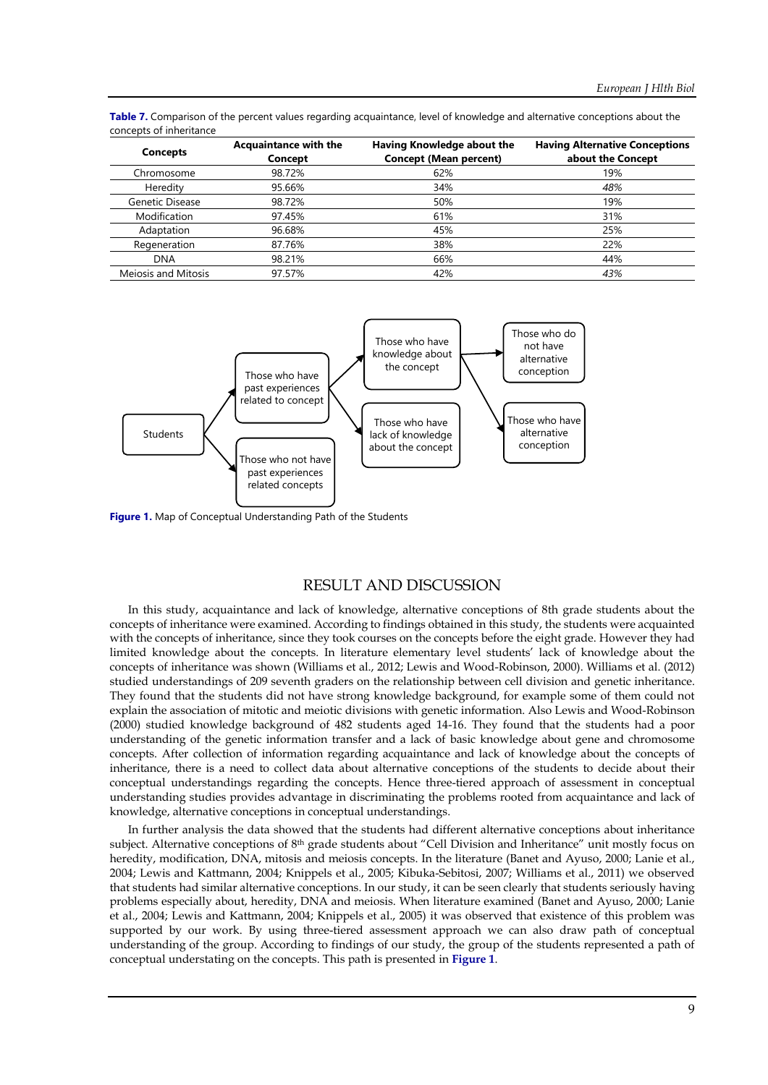| <b>Concepts</b>     | <b>Acquaintance with the</b><br>Concept | Having Knowledge about the<br><b>Concept (Mean percent)</b> | <b>Having Alternative Conceptions</b><br>about the Concept |
|---------------------|-----------------------------------------|-------------------------------------------------------------|------------------------------------------------------------|
| Chromosome          | 98.72%                                  | 62%                                                         | 19%                                                        |
| Heredity            | 95.66%                                  | 34%                                                         | 48%                                                        |
| Genetic Disease     | 98.72%                                  | 50%                                                         | 19%                                                        |
| Modification        | 97.45%                                  | 61%                                                         | 31%                                                        |
| Adaptation          | 96.68%                                  | 45%                                                         | 25%                                                        |
| Regeneration        | 87.76%                                  | 38%                                                         | 22%                                                        |
| <b>DNA</b>          | 98.21%                                  | 66%                                                         | 44%                                                        |
| Mejosis and Mitosis | 97.57%                                  | 42%                                                         | 43%                                                        |

**Table 7.** Comparison of the percent values regarding acquaintance, level of knowledge and alternative conceptions about the concepts of inheritance



**Figure 1.** Map of Conceptual Understanding Path of the Students

## RESULT AND DISCUSSION

In this study, acquaintance and lack of knowledge, alternative conceptions of 8th grade students about the concepts of inheritance were examined. According to findings obtained in this study, the students were acquainted with the concepts of inheritance, since they took courses on the concepts before the eight grade. However they had limited knowledge about the concepts. In literature elementary level students' lack of knowledge about the concepts of inheritance was shown (Williams et al., 2012; Lewis and Wood-Robinson, 2000). Williams et al. (2012) studied understandings of 209 seventh graders on the relationship between cell division and genetic inheritance. They found that the students did not have strong knowledge background, for example some of them could not explain the association of mitotic and meiotic divisions with genetic information. Also Lewis and Wood-Robinson (2000) studied knowledge background of 482 students aged 14-16. They found that the students had a poor understanding of the genetic information transfer and a lack of basic knowledge about gene and chromosome concepts. After collection of information regarding acquaintance and lack of knowledge about the concepts of inheritance, there is a need to collect data about alternative conceptions of the students to decide about their conceptual understandings regarding the concepts. Hence three-tiered approach of assessment in conceptual understanding studies provides advantage in discriminating the problems rooted from acquaintance and lack of knowledge, alternative conceptions in conceptual understandings.

In further analysis the data showed that the students had different alternative conceptions about inheritance subject. Alternative conceptions of 8th grade students about "Cell Division and Inheritance" unit mostly focus on heredity, modification, DNA, mitosis and meiosis concepts. In the literature (Banet and Ayuso, 2000; Lanie et al., 2004; Lewis and Kattmann, 2004; Knippels et al., 2005; Kibuka-Sebitosi, 2007; Williams et al., 2011) we observed that students had similar alternative conceptions. In our study, it can be seen clearly that students seriously having problems especially about, heredity, DNA and meiosis. When literature examined (Banet and Ayuso, 2000; Lanie et al., 2004; Lewis and Kattmann, 2004; Knippels et al., 2005) it was observed that existence of this problem was supported by our work. By using three-tiered assessment approach we can also draw path of conceptual understanding of the group. According to findings of our study, the group of the students represented a path of conceptual understating on the concepts. This path is presented in **Figure 1**.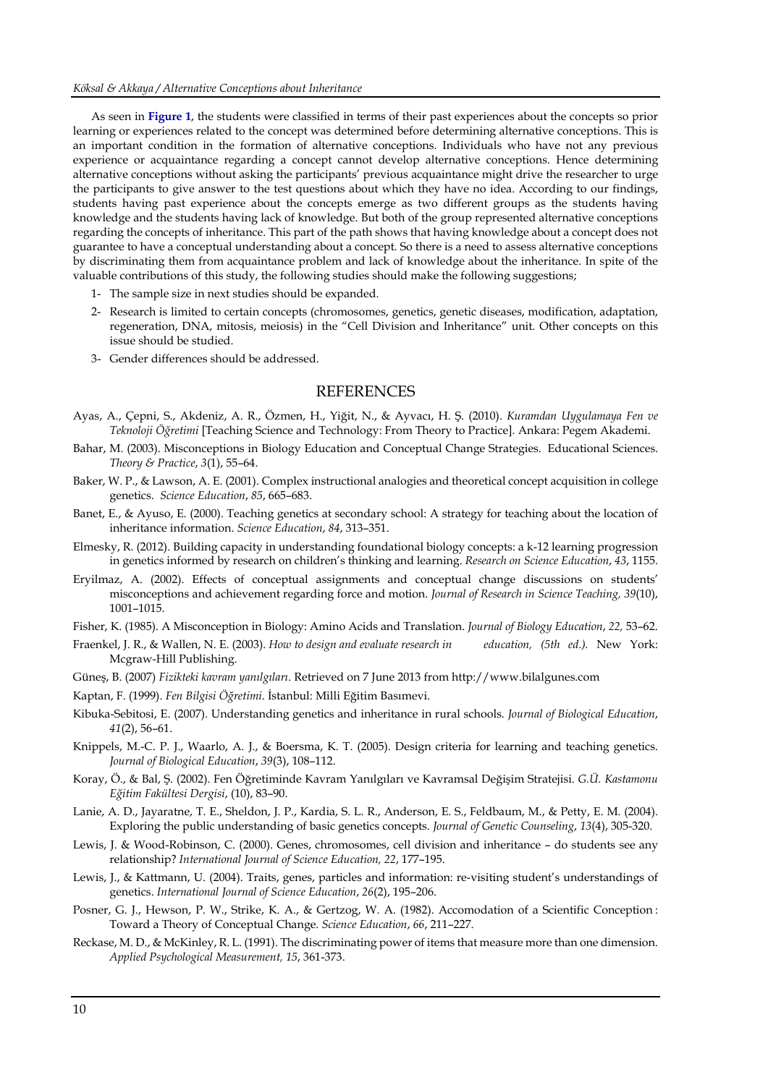As seen in **Figure 1**, the students were classified in terms of their past experiences about the concepts so prior learning or experiences related to the concept was determined before determining alternative conceptions. This is an important condition in the formation of alternative conceptions. Individuals who have not any previous experience or acquaintance regarding a concept cannot develop alternative conceptions. Hence determining alternative conceptions without asking the participants' previous acquaintance might drive the researcher to urge the participants to give answer to the test questions about which they have no idea. According to our findings, students having past experience about the concepts emerge as two different groups as the students having knowledge and the students having lack of knowledge. But both of the group represented alternative conceptions regarding the concepts of inheritance. This part of the path shows that having knowledge about a concept does not guarantee to have a conceptual understanding about a concept. So there is a need to assess alternative conceptions by discriminating them from acquaintance problem and lack of knowledge about the inheritance. In spite of the valuable contributions of this study, the following studies should make the following suggestions;

- 1- The sample size in next studies should be expanded.
- 2- Research is limited to certain concepts (chromosomes, genetics, genetic diseases, modification, adaptation, regeneration, DNA, mitosis, meiosis) in the "Cell Division and Inheritance" unit. Other concepts on this issue should be studied.
- 3- Gender differences should be addressed.

### **REFERENCES**

- Ayas, A., Çepni, S., Akdeniz, A. R., Özmen, H., Yiğit, N., & Ayvacı, H. Ş. (2010). *Kuramdan Uygulamaya Fen ve Teknoloji Öğretimi* [Teaching Science and Technology: From Theory to Practice]. Ankara: Pegem Akademi.
- Bahar, M. (2003). Misconceptions in Biology Education and Conceptual Change Strategies. Educational Sciences. *Theory & Practice*, *3*(1), 55–64.
- Baker, W. P., & Lawson, A. E. (2001). Complex instructional analogies and theoretical concept acquisition in college genetics. *Science Education*, *85*, 665–683.
- Banet, E., & Ayuso, E. (2000). Teaching genetics at secondary school: A strategy for teaching about the location of inheritance information. *Science Education*, *84*, 313–351.
- Elmesky, R. (2012). Building capacity in understanding foundational biology concepts: a k-12 learning progression in genetics informed by research on children's thinking and learning. *Research on Science Education*, *43*, 1155.
- Eryilmaz, A. (2002). Effects of conceptual assignments and conceptual change discussions on students' misconceptions and achievement regarding force and motion. *Journal of Research in Science Teaching, 39*(10), 1001–1015.

Fisher, K. (1985). A Misconception in Biology: Amino Acids and Translation. *Journal of Biology Education*, *22,* 53–62.

- Fraenkel, J. R., & Wallen, N. E. (2003). *How to design and evaluate research in education, (5th ed.).* New York: Mcgraw-Hill Publishing.
- Güneş, B. (2007) *Fizikteki kavram yanılgıları*. Retrieved on 7 June 2013 from http://www.bilalgunes.com
- Kaptan, F. (1999). *Fen Bilgisi Öğretimi*. İstanbul: Milli Eğitim Basımevi.
- Kibuka-Sebitosi, E. (2007). Understanding genetics and inheritance in rural schools. *Journal of Biological Education*, *41*(2), 56–61.
- Knippels, M.-C. P. J., Waarlo, A. J., & Boersma, K. T. (2005). Design criteria for learning and teaching genetics. *Journal of Biological Education*, *39*(3), 108–112.
- Koray, Ö., & Bal, Ş. (2002). Fen Öğretiminde Kavram Yanılgıları ve Kavramsal Değişim Stratejisi. *G.Ü. Kastamonu Eğitim Fakültesi Dergisi*, (10), 83–90.
- Lanie, A. D., Jayaratne, T. E., Sheldon, J. P., Kardia, S. L. R., Anderson, E. S., Feldbaum, M., & Petty, E. M. (2004). Exploring the public understanding of basic genetics concepts. *Journal of Genetic Counseling*, *13*(4), 305-320.
- Lewis, J. & Wood-Robinson, C. (2000). Genes, chromosomes, cell division and inheritance do students see any relationship? *International Journal of Science Education, 22*, 177–195.
- Lewis, J., & Kattmann, U. (2004). Traits, genes, particles and information: re-visiting student's understandings of genetics. *International Journal of Science Education*, *26*(2), 195–206.
- Posner, G. J., Hewson, P. W., Strike, K. A., & Gertzog, W. A. (1982). Accomodation of a Scientific Conception : Toward a Theory of Conceptual Change. *Science Education*, *66*, 211–227.
- Reckase, M. D., & McKinley, R. L. (1991). The discriminating power of items that measure more than one dimension. *Applied Psychological Measurement, 15*, 361-373.